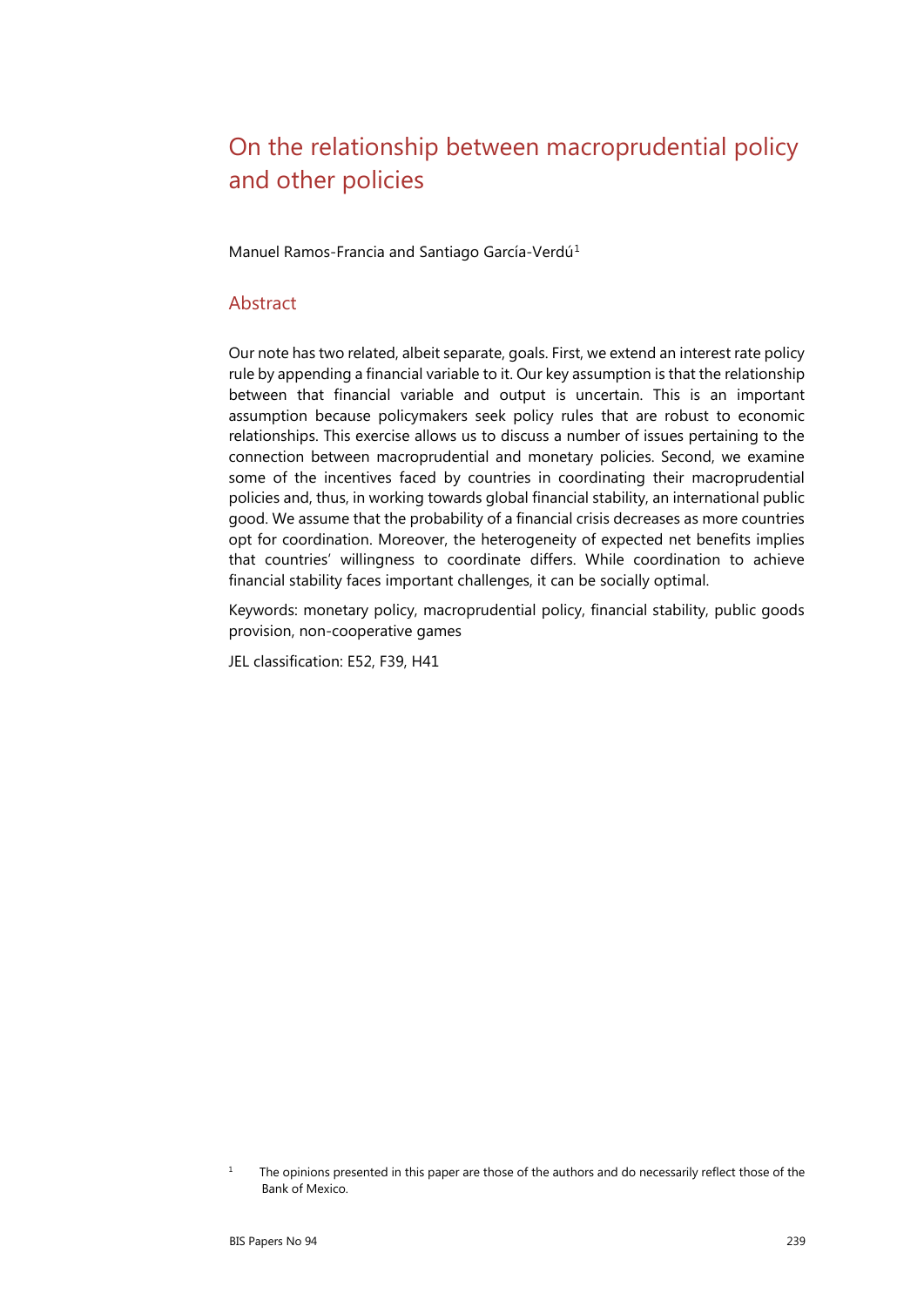# On the relationship between macroprudential policy and other policies

Manuel Ramos-Francia and Santiago García-Verdú<sup>[1](#page-0-0)</sup>

#### Abstract

Our note has two related, albeit separate, goals. First, we extend an interest rate policy rule by appending a financial variable to it. Our key assumption is that the relationship between that financial variable and output is uncertain. This is an important assumption because policymakers seek policy rules that are robust to economic relationships. This exercise allows us to discuss a number of issues pertaining to the connection between macroprudential and monetary policies. Second, we examine some of the incentives faced by countries in coordinating their macroprudential policies and, thus, in working towards global financial stability, an international public good. We assume that the probability of a financial crisis decreases as more countries opt for coordination. Moreover, the heterogeneity of expected net benefits implies that countries' willingness to coordinate differs. While coordination to achieve financial stability faces important challenges, it can be socially optimal.

Keywords: monetary policy, macroprudential policy, financial stability, public goods provision, non-cooperative games

JEL classification: E52, F39, H41

<span id="page-0-0"></span><sup>&</sup>lt;sup>1</sup> The opinions presented in this paper are those of the authors and do necessarily reflect those of the Bank of Mexico.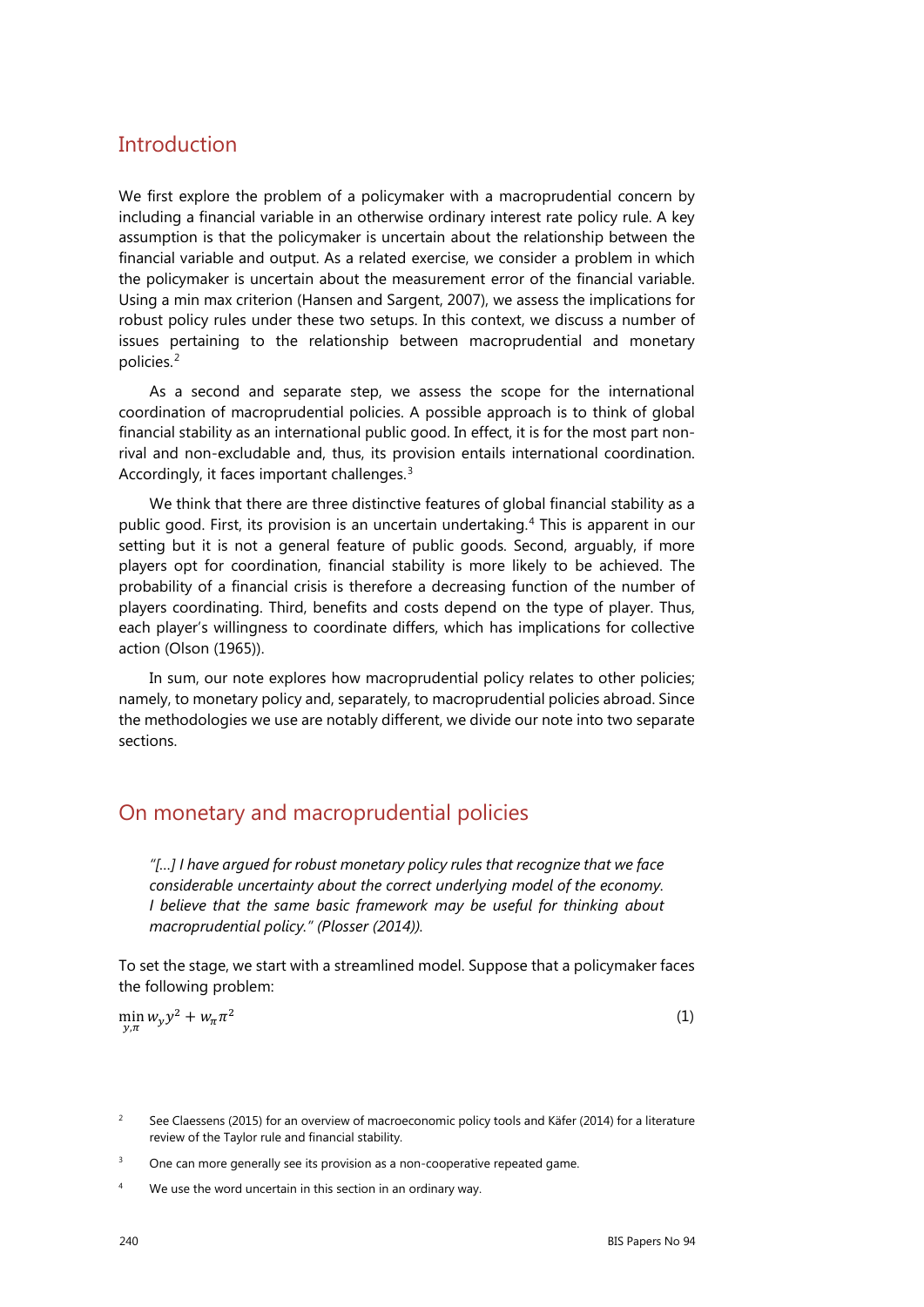### **Introduction**

We first explore the problem of a policymaker with a macroprudential concern by including a financial variable in an otherwise ordinary interest rate policy rule. A key assumption is that the policymaker is uncertain about the relationship between the financial variable and output. As a related exercise, we consider a problem in which the policymaker is uncertain about the measurement error of the financial variable. Using a min max criterion (Hansen and Sargent, 2007), we assess the implications for robust policy rules under these two setups. In this context, we discuss a number of issues pertaining to the relationship between macroprudential and monetary policies.[2](#page-1-0)

As a second and separate step, we assess the scope for the international coordination of macroprudential policies. A possible approach is to think of global financial stability as an international public good. In effect, it is for the most part nonrival and non-excludable and, thus, its provision entails international coordination. Accordingly, it faces important challenges.[3](#page-1-1)

We think that there are three distinctive features of global financial stability as a public good. First, its provision is an uncertain undertaking.<sup>[4](#page-1-2)</sup> This is apparent in our setting but it is not a general feature of public goods. Second, arguably, if more players opt for coordination, financial stability is more likely to be achieved. The probability of a financial crisis is therefore a decreasing function of the number of players coordinating. Third, benefits and costs depend on the type of player. Thus, each player's willingness to coordinate differs, which has implications for collective action (Olson (1965)).

In sum, our note explores how macroprudential policy relates to other policies; namely, to monetary policy and, separately, to macroprudential policies abroad. Since the methodologies we use are notably different, we divide our note into two separate sections.

# On monetary and macroprudential policies

*"[…] I have argued for robust monetary policy rules that recognize that we face considerable uncertainty about the correct underlying model of the economy. I believe that the same basic framework may be useful for thinking about macroprudential policy." (Plosser (2014)).* 

To set the stage, we start with a streamlined model. Suppose that a policymaker faces the following problem:

$$
\min_{y,\pi} w_y y^2 + w_\pi \pi^2 \tag{1}
$$

- <span id="page-1-1"></span> $3$  One can more generally see its provision as a non-cooperative repeated game.
- <span id="page-1-2"></span><sup>4</sup> We use the word uncertain in this section in an ordinary way.

<span id="page-1-0"></span><sup>&</sup>lt;sup>2</sup> See Claessens (2015) for an overview of macroeconomic policy tools and Käfer (2014) for a literature review of the Taylor rule and financial stability.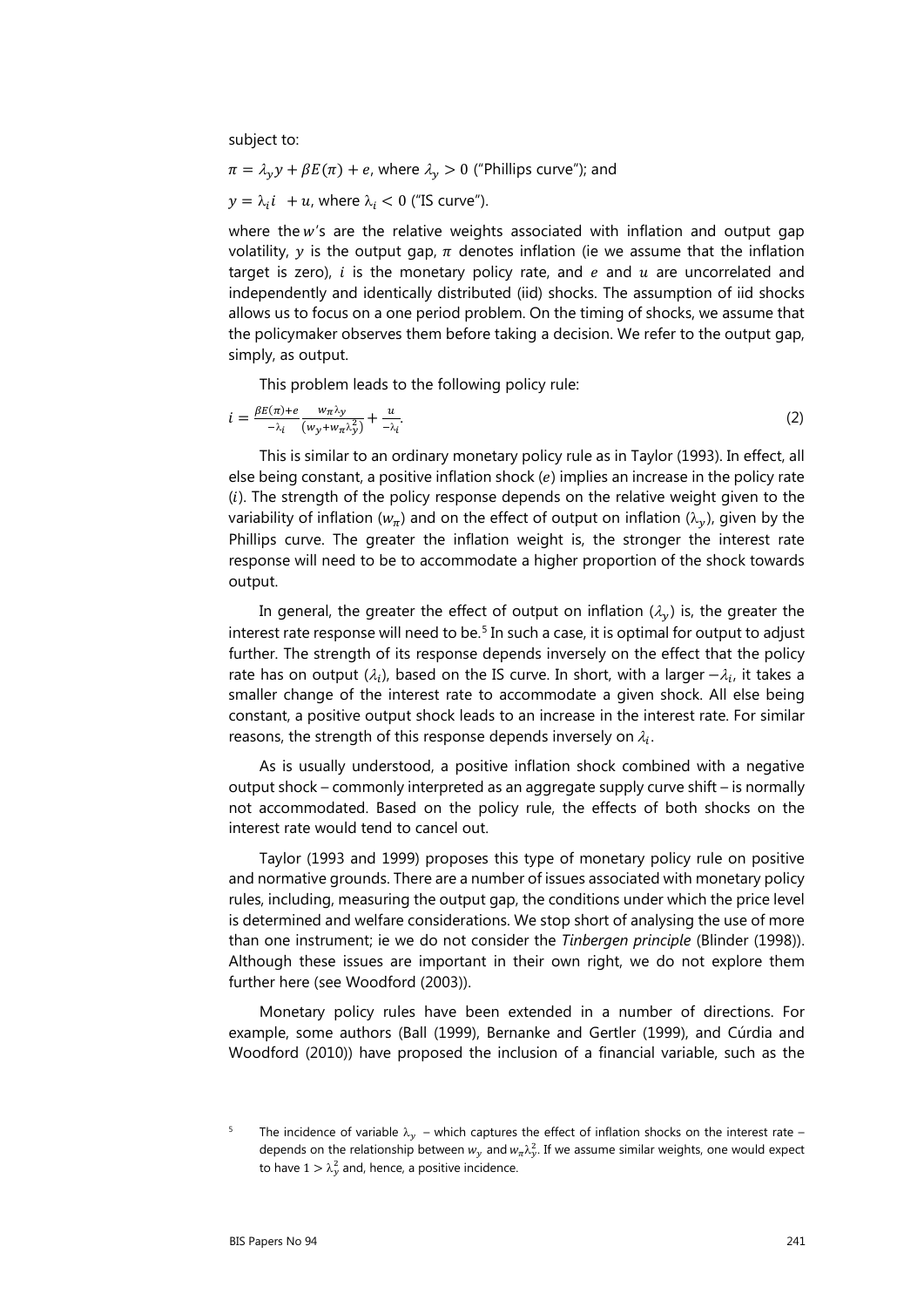subject to:

$$
\pi = \lambda_y y + \beta E(\pi) + e
$$
, where  $\lambda_y > 0$  ("Phillips curve"); and  $y = \lambda_i i + u$ , where  $\lambda_i < 0$  ("IS curve").

where the  $w'$ 's are the relative weights associated with inflation and output gap volatility, y is the output gap,  $\pi$  denotes inflation (ie we assume that the inflation target is zero),  $i$  is the monetary policy rate, and  $e$  and  $u$  are uncorrelated and independently and identically distributed (iid) shocks. The assumption of iid shocks allows us to focus on a one period problem. On the timing of shocks, we assume that the policymaker observes them before taking a decision. We refer to the output gap, simply, as output.

This problem leads to the following policy rule:

$$
i = \frac{\beta E(\pi) + e}{-\lambda_i} \frac{w_\pi \lambda_y}{(w_y + w_\pi \lambda_y^2)} + \frac{u}{-\lambda_i}.\tag{2}
$$

This is similar to an ordinary monetary policy rule as in Taylor (1993). In effect, all else being constant, a positive inflation shock  $(e)$  implies an increase in the policy rate  $(i)$ . The strength of the policy response depends on the relative weight given to the variability of inflation ( $w_{\pi}$ ) and on the effect of output on inflation ( $\lambda_{\nu}$ ), given by the Phillips curve. The greater the inflation weight is, the stronger the interest rate response will need to be to accommodate a higher proportion of the shock towards output.

In general, the greater the effect of output on inflation  $(\lambda_v)$  is, the greater the interest rate response will need to be.<sup>[5](#page-2-0)</sup> In such a case, it is optimal for output to adjust further. The strength of its response depends inversely on the effect that the policy rate has on output ( $\lambda_i$ ), based on the IS curve. In short, with a larger  $-\lambda_i$ , it takes a smaller change of the interest rate to accommodate a given shock. All else being constant, a positive output shock leads to an increase in the interest rate. For similar reasons, the strength of this response depends inversely on  $\lambda_i$ .

As is usually understood, a positive inflation shock combined with a negative output shock – commonly interpreted as an aggregate supply curve shift – is normally not accommodated. Based on the policy rule, the effects of both shocks on the interest rate would tend to cancel out.

Taylor (1993 and 1999) proposes this type of monetary policy rule on positive and normative grounds. There are a number of issues associated with monetary policy rules, including, measuring the output gap, the conditions under which the price level is determined and welfare considerations. We stop short of analysing the use of more than one instrument; ie we do not consider the *Tinbergen principle* (Blinder (1998)). Although these issues are important in their own right, we do not explore them further here (see Woodford (2003)).

Monetary policy rules have been extended in a number of directions. For example, some authors (Ball (1999), Bernanke and Gertler (1999), and Cúrdia and Woodford (2010)) have proposed the inclusion of a financial variable, such as the

<span id="page-2-0"></span><sup>&</sup>lt;sup>5</sup> The incidence of variable  $\lambda_y$  – which captures the effect of inflation shocks on the interest rate – depends on the relationship between  $w_y$  and  $w_\pi \lambda_y^2$ . If we assume similar weights, one would expect to have  $1 > \lambda_y^2$  and, hence, a positive incidence.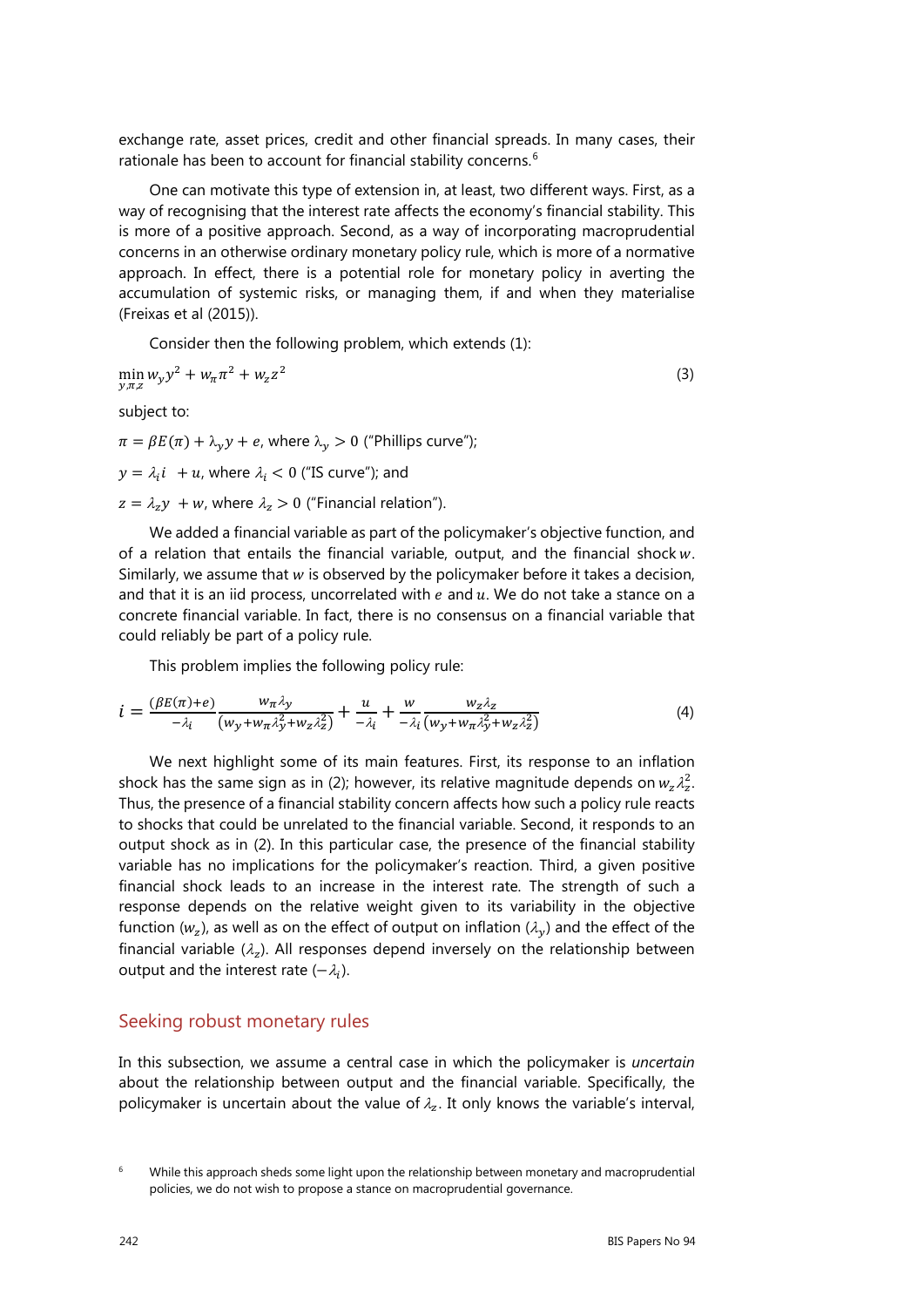exchange rate, asset prices, credit and other financial spreads. In many cases, their rationale has been to account for financial stability concerns.<sup>[6](#page-3-0)</sup>

One can motivate this type of extension in, at least, two different ways. First, as a way of recognising that the interest rate affects the economy's financial stability. This is more of a positive approach. Second, as a way of incorporating macroprudential concerns in an otherwise ordinary monetary policy rule, which is more of a normative approach. In effect, there is a potential role for monetary policy in averting the accumulation of systemic risks, or managing them, if and when they materialise (Freixas et al (2015)).

Consider then the following problem, which extends (1):

$$
\min_{y,\pi,z} w_y y^2 + w_\pi \pi^2 + w_z z^2 \tag{3}
$$

subject to:

 $\pi = \beta E(\pi) + \lambda_{\gamma} y + e$ , where  $\lambda_{\gamma} > 0$  ("Phillips curve");

 $y = \lambda_i i + u$ , where  $\lambda_i < 0$  ("IS curve"); and

 $z = \lambda_z y + w$ , where  $\lambda_z > 0$  ("Financial relation").

We added a financial variable as part of the policymaker's objective function, and of a relation that entails the financial variable, output, and the financial shock  $w$ . Similarly, we assume that  $w$  is observed by the policymaker before it takes a decision, and that it is an iid process, uncorrelated with  $e$  and  $u$ . We do not take a stance on a concrete financial variable. In fact, there is no consensus on a financial variable that could reliably be part of a policy rule.

This problem implies the following policy rule:

$$
i = \frac{(\beta E(\pi) + e)}{-\lambda_i} \frac{w_\pi \lambda_y}{(w_y + w_\pi \lambda_y^2 + w_z \lambda_z^2)} + \frac{u}{-\lambda_i} + \frac{w}{-\lambda_i} \frac{w_z \lambda_z}{(w_y + w_\pi \lambda_y^2 + w_z \lambda_z^2)}
$$
(4)

We next highlight some of its main features. First, its response to an inflation shock has the same sign as in (2); however, its relative magnitude depends on  $w_z \lambda_z^2$ . Thus, the presence of a financial stability concern affects how such a policy rule reacts to shocks that could be unrelated to the financial variable. Second, it responds to an output shock as in (2). In this particular case, the presence of the financial stability variable has no implications for the policymaker's reaction. Third, a given positive financial shock leads to an increase in the interest rate. The strength of such a response depends on the relative weight given to its variability in the objective function ( $w_z$ ), as well as on the effect of output on inflation ( $\lambda_v$ ) and the effect of the financial variable ( $\lambda_z$ ). All responses depend inversely on the relationship between output and the interest rate  $(-\lambda_i)$ .

#### Seeking robust monetary rules

In this subsection, we assume a central case in which the policymaker is *uncertain* about the relationship between output and the financial variable. Specifically, the policymaker is uncertain about the value of  $\lambda_z$ . It only knows the variable's interval,

<span id="page-3-0"></span> $6$  While this approach sheds some light upon the relationship between monetary and macroprudential policies, we do not wish to propose a stance on macroprudential governance.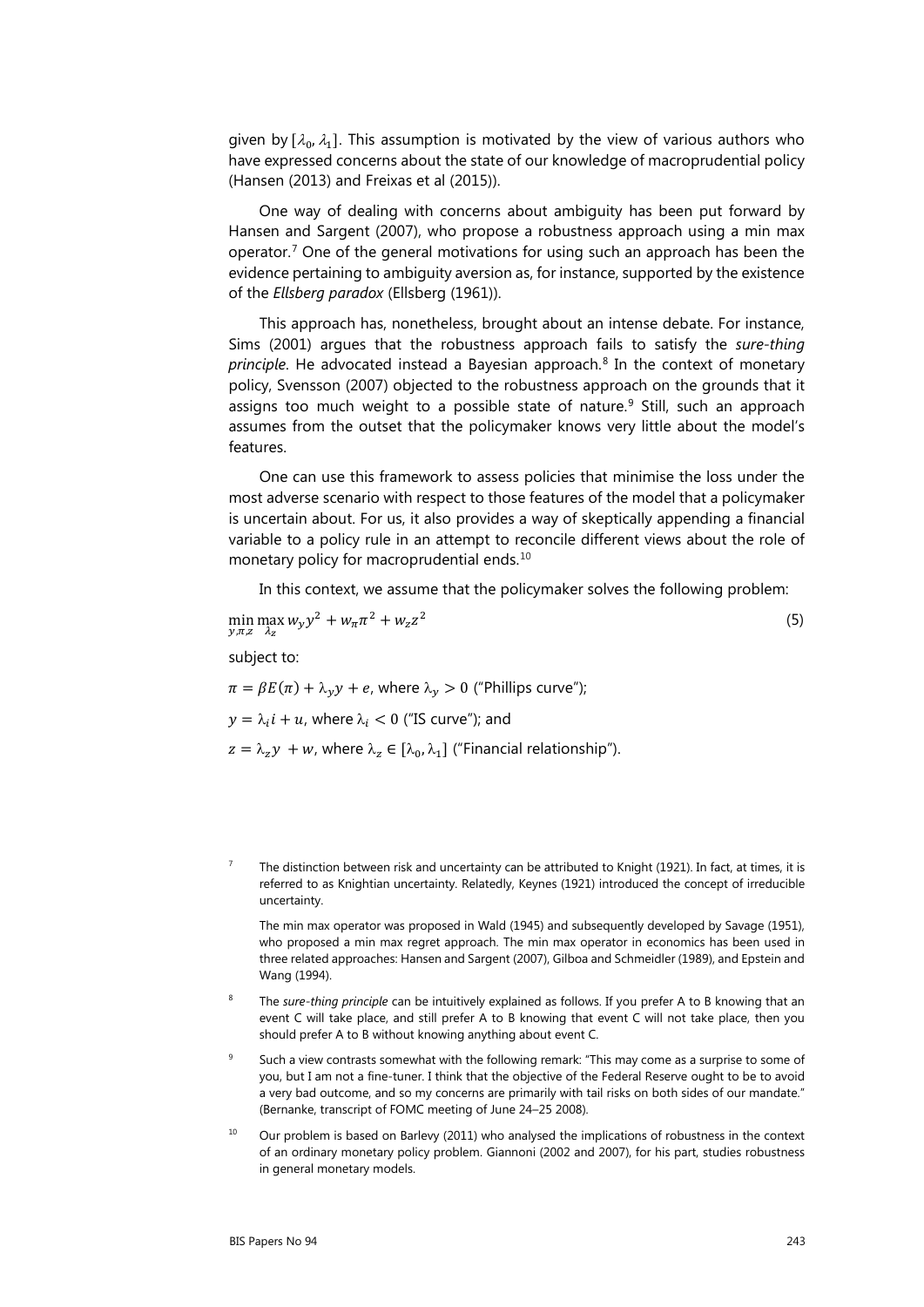given by  $[\lambda_0, \lambda_1]$ . This assumption is motivated by the view of various authors who have expressed concerns about the state of our knowledge of macroprudential policy (Hansen (2013) and Freixas et al (2015)).

One way of dealing with concerns about ambiguity has been put forward by Hansen and Sargent (2007), who propose a robustness approach using a min max operator.<sup>[7](#page-4-0)</sup> One of the general motivations for using such an approach has been the evidence pertaining to ambiguity aversion as, for instance, supported by the existence of the *Ellsberg paradox* (Ellsberg (1961)).

This approach has, nonetheless, brought about an intense debate. For instance, Sims (2001) argues that the robustness approach fails to satisfy the *sure-thing principle*. He advocated instead a Bayesian approach.<sup>[8](#page-4-1)</sup> In the context of monetary policy, Svensson (2007) objected to the robustness approach on the grounds that it assigns too much weight to a possible state of nature.<sup>[9](#page-4-2)</sup> Still, such an approach assumes from the outset that the policymaker knows very little about the model's features.

One can use this framework to assess policies that minimise the loss under the most adverse scenario with respect to those features of the model that a policymaker is uncertain about. For us, it also provides a way of skeptically appending a financial variable to a policy rule in an attempt to reconcile different views about the role of monetary policy for macroprudential ends.<sup>[10](#page-4-3)</sup>

In this context, we assume that the policymaker solves the following problem:

$$
\min_{y,\pi,z} \max_{\lambda_z} w_y y^2 + w_\pi \pi^2 + w_z z^2 \tag{5}
$$

subject to:

 $\pi = \beta E(\pi) + \lambda_v y + e$ , where  $\lambda_v > 0$  ("Phillips curve");  $y = \lambda_i i + u$ , where  $\lambda_i < 0$  ("IS curve"); and  $z = \lambda_z y + w$ , where  $\lambda_z \in [\lambda_0, \lambda_1]$  ("Financial relationship").

<span id="page-4-0"></span><sup>7</sup> The distinction between risk and uncertainty can be attributed to Knight (1921). In fact, at times, it is referred to as Knightian uncertainty. Relatedly, Keynes (1921) introduced the concept of irreducible uncertainty.

The min max operator was proposed in Wald (1945) and subsequently developed by Savage (1951), who proposed a min max regret approach. The min max operator in economics has been used in three related approaches: Hansen and Sargent (2007), Gilboa and Schmeidler (1989), and Epstein and Wang (1994).

- <span id="page-4-1"></span>The *sure-thing principle* can be intuitively explained as follows. If you prefer A to B knowing that an event C will take place, and still prefer A to B knowing that event C will not take place, then you should prefer A to B without knowing anything about event C.
- <span id="page-4-2"></span>Such a view contrasts somewhat with the following remark: "This may come as a surprise to some of you, but I am not a fine-tuner. I think that the objective of the Federal Reserve ought to be to avoid a very bad outcome, and so my concerns are primarily with tail risks on both sides of our mandate." (Bernanke, transcript of FOMC meeting of June 24–25 2008).
- <span id="page-4-3"></span> $10$  Our problem is based on Barlevy (2011) who analysed the implications of robustness in the context of an ordinary monetary policy problem. Giannoni (2002 and 2007), for his part, studies robustness in general monetary models.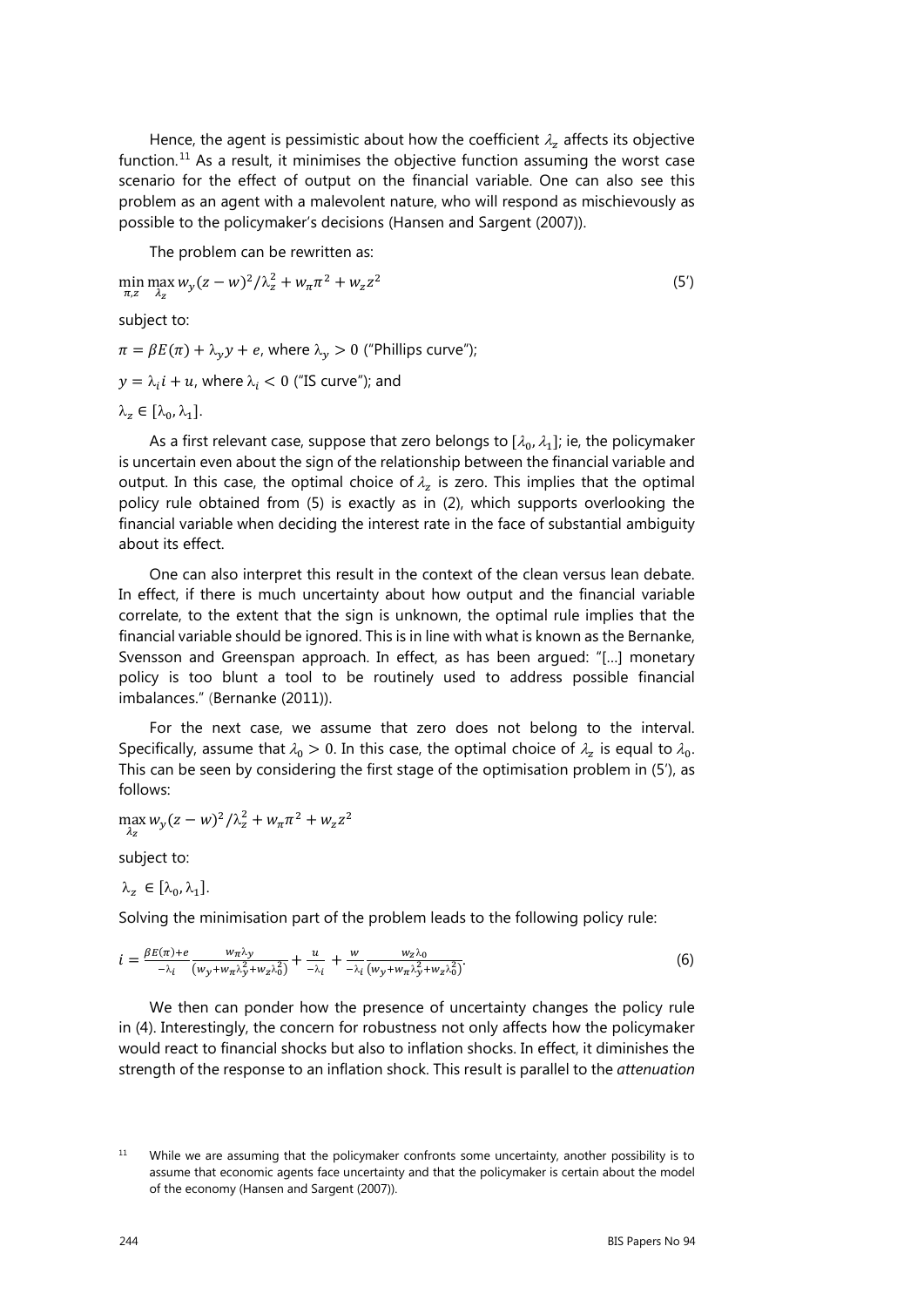Hence, the agent is pessimistic about how the coefficient  $\lambda_z$  affects its objective function.<sup>[11](#page-5-0)</sup> As a result, it minimises the objective function assuming the worst case scenario for the effect of output on the financial variable. One can also see this problem as an agent with a malevolent nature, who will respond as mischievously as possible to the policymaker's decisions (Hansen and Sargent (2007)).

The problem can be rewritten as:

$$
\min_{\pi,z} \max_{\lambda_z} w_y (z - w)^2 / \lambda_z^2 + w_\pi \pi^2 + w_z z^2 \tag{5'}
$$

subject to:

 $\pi = \beta E(\pi) + \lambda_v y + e$ , where  $\lambda_v > 0$  ("Phillips curve");

 $y = \lambda_i i + u$ , where  $\lambda_i < 0$  ("IS curve"); and

 $\lambda_{z} \in [\lambda_{0}, \lambda_{1}].$ 

As a first relevant case, suppose that zero belongs to  $[\lambda_0, \lambda_1]$ ; ie, the policymaker is uncertain even about the sign of the relationship between the financial variable and output. In this case, the optimal choice of  $\lambda_z$  is zero. This implies that the optimal policy rule obtained from (5) is exactly as in (2), which supports overlooking the financial variable when deciding the interest rate in the face of substantial ambiguity about its effect.

One can also interpret this result in the context of the clean versus lean debate. In effect, if there is much uncertainty about how output and the financial variable correlate, to the extent that the sign is unknown, the optimal rule implies that the financial variable should be ignored. This is in line with what is known as the Bernanke, Svensson and Greenspan approach. In effect, as has been argued: "[…] monetary policy is too blunt a tool to be routinely used to address possible financial imbalances." (Bernanke (2011)).

For the next case, we assume that zero does not belong to the interval. Specifically, assume that  $\lambda_0 > 0$ . In this case, the optimal choice of  $\lambda_z$  is equal to  $\lambda_0$ . This can be seen by considering the first stage of the optimisation problem in (5'), as follows:

 $\max_{\lambda_z} w_y (z - w)^2 / \lambda_z^2 + w_\pi \pi^2 + w_z z^2$ 

subject to:

 $\lambda_{z} \in [\lambda_{0}, \lambda_{1}]$ .

Solving the minimisation part of the problem leads to the following policy rule:

$$
i = \frac{\beta E(\pi) + e}{-\lambda_i} \frac{w_\pi \lambda_y}{(w_y + w_\pi \lambda_y^2 + w_z \lambda_0^2)} + \frac{u}{-\lambda_i} + \frac{w}{-\lambda_i} \frac{w_z \lambda_0}{(w_y + w_\pi \lambda_y^2 + w_z \lambda_0^2)}.
$$
(6)

We then can ponder how the presence of uncertainty changes the policy rule in (4). Interestingly, the concern for robustness not only affects how the policymaker would react to financial shocks but also to inflation shocks. In effect, it diminishes the strength of the response to an inflation shock. This result is parallel to the *attenuation* 

<span id="page-5-0"></span> $11$  While we are assuming that the policymaker confronts some uncertainty, another possibility is to assume that economic agents face uncertainty and that the policymaker is certain about the model of the economy (Hansen and Sargent (2007)).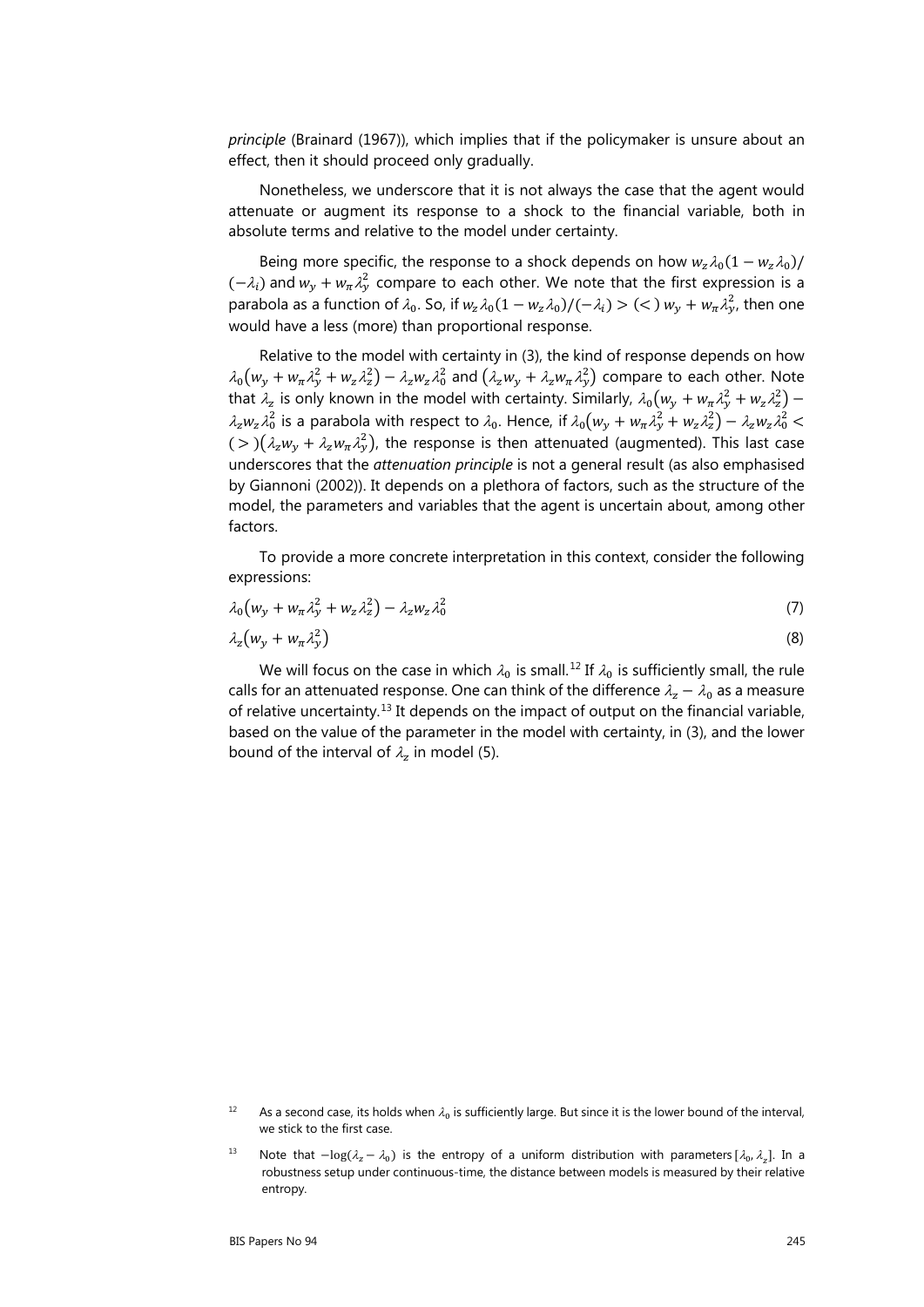*principle* (Brainard (1967)), which implies that if the policymaker is unsure about an effect, then it should proceed only gradually.

Nonetheless, we underscore that it is not always the case that the agent would attenuate or augment its response to a shock to the financial variable, both in absolute terms and relative to the model under certainty.

Being more specific, the response to a shock depends on how  $w_z \lambda_0(1 - w_z \lambda_0)$ /  $(-\lambda_i)$  and  $w_y + w_\pi \lambda_y^2$  compare to each other. We note that the first expression is a parabola as a function of  $\lambda_0$ . So, if  $w_z \lambda_0 (1 - w_z \lambda_0) / (-\lambda_i) > (\lt) w_y + w_\pi \lambda_y^2$ , then one would have a less (more) than proportional response.

Relative to the model with certainty in (3), the kind of response depends on how  $\lambda_0(w_y + w_\pi \lambda_y^2 + w_z \lambda_z^2) - \lambda_z w_z \lambda_0^2$  and  $(\lambda_z w_y + \lambda_z w_\pi \lambda_y^2)$  compare to each other. Note that  $\lambda_z$  is only known in the model with certainty. Similarly,  $\lambda_0(w_y + w_\pi \lambda_y^2 + w_z \lambda_z^2)$  –  $\lambda_z w_z \lambda_0^2$  is a parabola with respect to  $\lambda_0$ . Hence, if  $\lambda_0 (w_y + w_\pi \lambda_y^2 + w_z \lambda_z^2) - \lambda_z w_z \lambda_0^2$  $(>(\lambda_2 W_y + \lambda_2 W_{\pi} \lambda_2^2)$ , the response is then attenuated (augmented). This last case underscores that the *attenuation principle* is not a general result (as also emphasised by Giannoni (2002)). It depends on a plethora of factors, such as the structure of the model, the parameters and variables that the agent is uncertain about, among other factors.

To provide a more concrete interpretation in this context, consider the following expressions:

$$
\lambda_0 \big( w_y + w_\pi \lambda_y^2 + w_z \lambda_z^2 \big) - \lambda_z w_z \lambda_0^2 \tag{7}
$$

$$
\lambda_z \big( w_y + w_\pi \lambda_y^2 \big) \tag{8}
$$

We will focus on the case in which  $\lambda_0$  is small.<sup>[12](#page-6-0)</sup> If  $\lambda_0$  is sufficiently small, the rule calls for an attenuated response. One can think of the difference  $\lambda_z - \lambda_0$  as a measure of relative uncertainty.[13](#page-6-1) It depends on the impact of output on the financial variable, based on the value of the parameter in the model with certainty, in (3), and the lower bound of the interval of  $\lambda_z$  in model (5).

<span id="page-6-0"></span><sup>&</sup>lt;sup>12</sup> As a second case, its holds when  $\lambda_0$  is sufficiently large. But since it is the lower bound of the interval, we stick to the first case.

<span id="page-6-1"></span><sup>13</sup> Note that  $-\log(\lambda_z - \lambda_0)$  is the entropy of a uniform distribution with parameters  $[\lambda_0, \lambda_z]$ . In a robustness setup under continuous-time, the distance between models is measured by their relative entropy.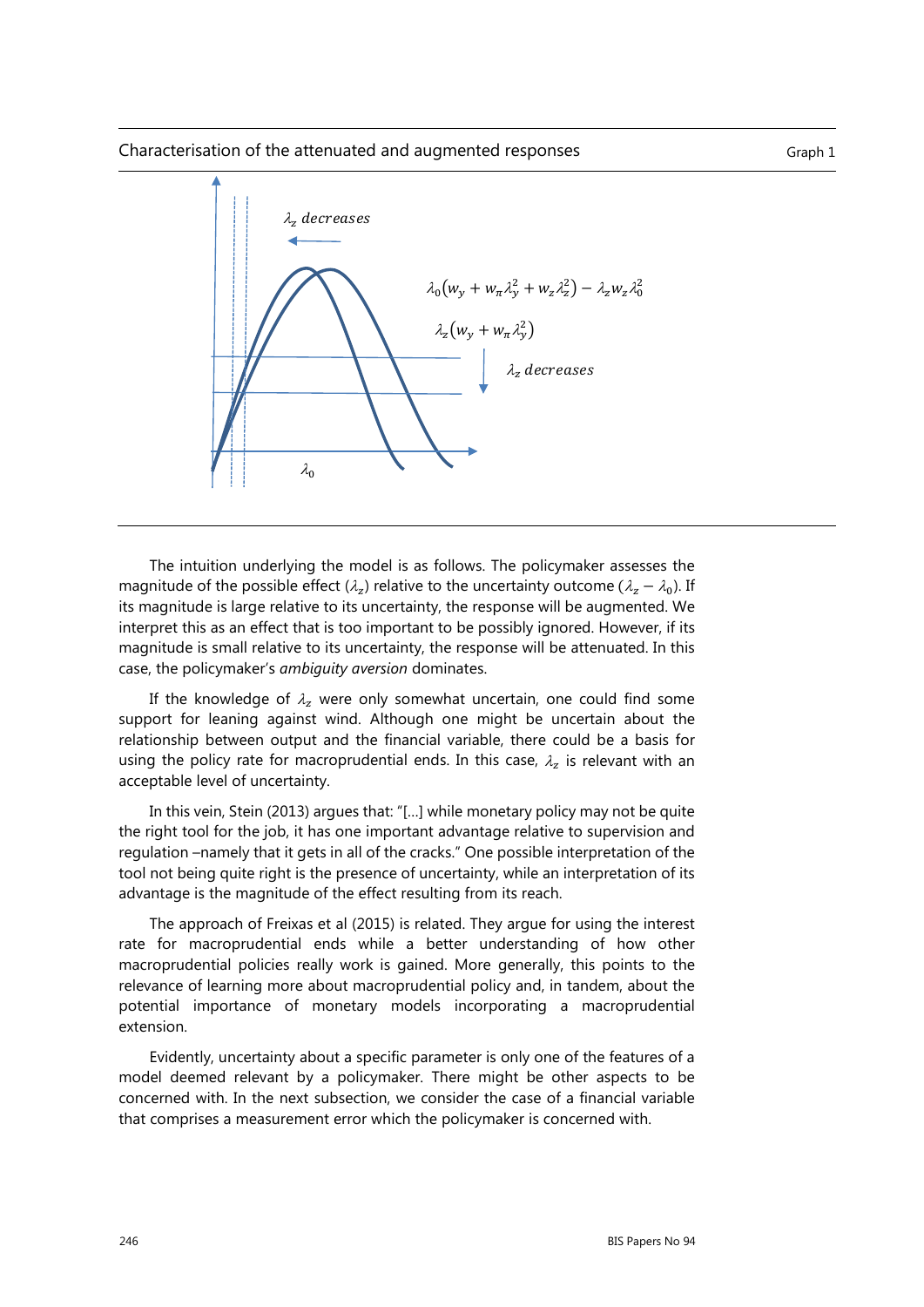#### Characterisation of the attenuated and augmented responses Theorem Craph 1



The intuition underlying the model is as follows. The policymaker assesses the magnitude of the possible effect ( $\lambda_z$ ) relative to the uncertainty outcome ( $\lambda_z - \lambda_0$ ). If its magnitude is large relative to its uncertainty, the response will be augmented. We interpret this as an effect that is too important to be possibly ignored. However, if its magnitude is small relative to its uncertainty, the response will be attenuated. In this case, the policymaker's *ambiguity aversion* dominates.

If the knowledge of  $\lambda_z$  were only somewhat uncertain, one could find some support for leaning against wind. Although one might be uncertain about the relationship between output and the financial variable, there could be a basis for using the policy rate for macroprudential ends. In this case,  $\lambda_z$  is relevant with an acceptable level of uncertainty.

In this vein, Stein (2013) argues that: "[…] while monetary policy may not be quite the right tool for the job, it has one important advantage relative to supervision and regulation –namely that it gets in all of the cracks." One possible interpretation of the tool not being quite right is the presence of uncertainty, while an interpretation of its advantage is the magnitude of the effect resulting from its reach.

The approach of Freixas et al (2015) is related. They argue for using the interest rate for macroprudential ends while a better understanding of how other macroprudential policies really work is gained. More generally, this points to the relevance of learning more about macroprudential policy and, in tandem, about the potential importance of monetary models incorporating a macroprudential extension.

Evidently, uncertainty about a specific parameter is only one of the features of a model deemed relevant by a policymaker. There might be other aspects to be concerned with. In the next subsection, we consider the case of a financial variable that comprises a measurement error which the policymaker is concerned with.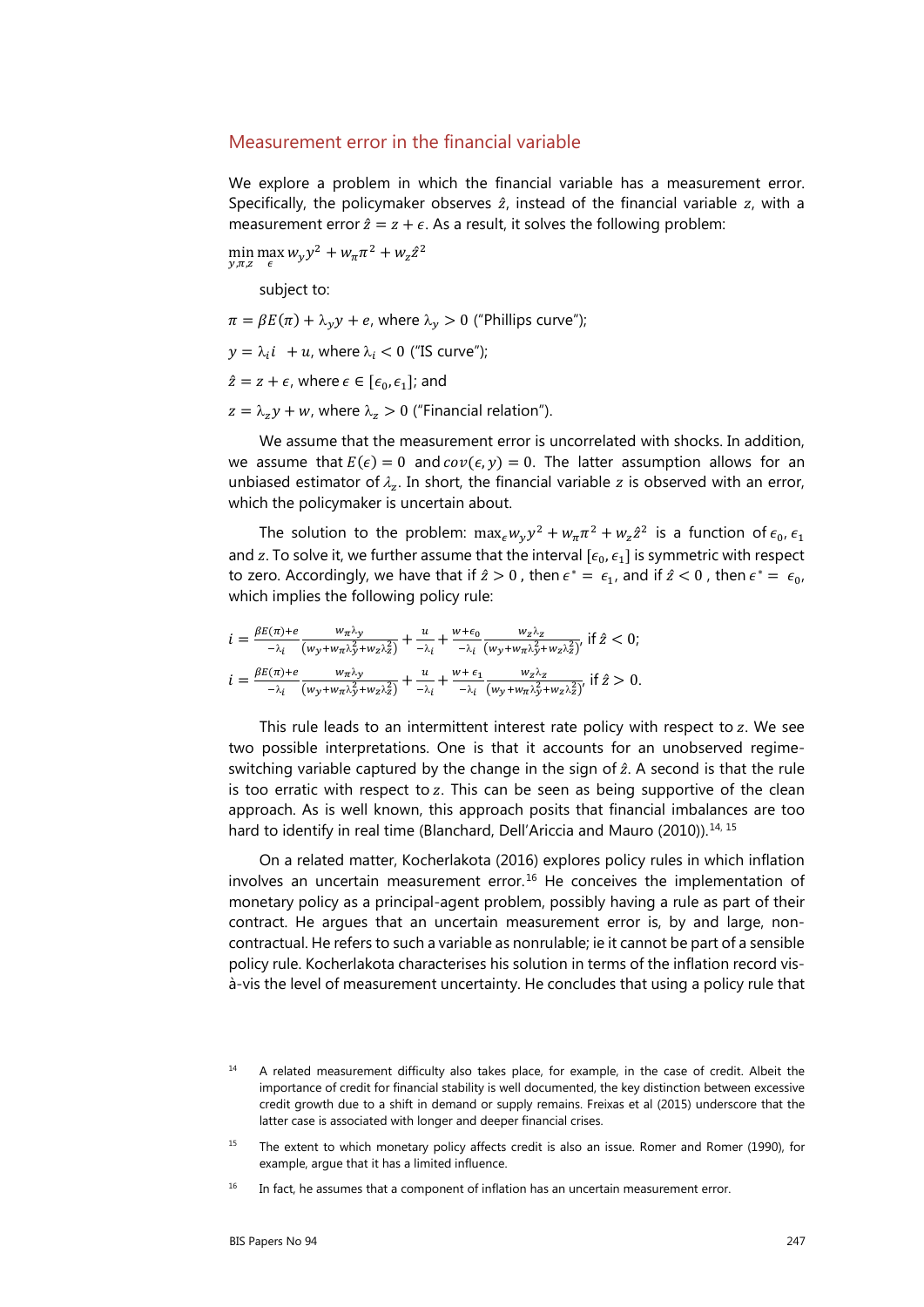#### Measurement error in the financial variable

We explore a problem in which the financial variable has a measurement error. Specifically, the policymaker observes  $\hat{z}$ , instead of the financial variable  $z$ , with a measurement error  $\hat{z} = z + \epsilon$ . As a result, it solves the following problem:

min max  $w_y y^2 + w_\pi \pi^2 + w_z \hat{z}^2$  $y,\pi,z \in$ 

subject to:

 $\pi = \beta E(\pi) + \lambda_v y + e$ , where  $\lambda_v > 0$  ("Phillips curve");

 $y = \lambda_i i + u$ , where  $\lambda_i < 0$  ("IS curve");

 $\hat{z} = z + \epsilon$ , where  $\epsilon \in [\epsilon_0, \epsilon_1]$ ; and

 $z = \lambda_z y + w$ , where  $\lambda_z > 0$  ("Financial relation").

We assume that the measurement error is uncorrelated with shocks. In addition, we assume that  $E(\epsilon) = 0$  and  $cov(\epsilon, y) = 0$ . The latter assumption allows for an unbiased estimator of  $\lambda_z$ . In short, the financial variable z is observed with an error, which the policymaker is uncertain about.

The solution to the problem:  $\max_{\epsilon} w_y y^2 + w_{\pi} \pi^2 + w_z \hat{z}^2$  is a function of  $\epsilon_0$ ,  $\epsilon_1$ and z. To solve it, we further assume that the interval  $[\epsilon_0, \epsilon_1]$  is symmetric with respect to zero. Accordingly, we have that if  $\hat{z} > 0$ , then  $\epsilon^* = \epsilon_{1}$ , and if  $\hat{z} < 0$ , then  $\epsilon^* = \epsilon_{0}$ , which implies the following policy rule:

$$
i = \frac{\beta E(\pi) + e}{-\lambda_i} \frac{w_\pi \lambda_y}{(w_y + w_\pi \lambda_y^2 + w_z \lambda_z^2)} + \frac{u}{-\lambda_i} + \frac{w + \epsilon_0}{-\lambda_i} \frac{w_z \lambda_z}{(w_y + w_\pi \lambda_y^2 + w_z \lambda_z^2)} \text{ if } \hat{z} < 0;
$$
\n
$$
i = \frac{\beta E(\pi) + e}{-\lambda_i} \frac{w_\pi \lambda_y}{(w_y + w_\pi \lambda_y^2 + w_z \lambda_z^2)} + \frac{u}{-\lambda_i} + \frac{w + \epsilon_1}{-\lambda_i} \frac{w_z \lambda_z}{(w_y + w_\pi \lambda_y^2 + w_z \lambda_z^2)} \text{ if } \hat{z} > 0.
$$

This rule leads to an intermittent interest rate policy with respect to  $z$ . We see two possible interpretations. One is that it accounts for an unobserved regimeswitching variable captured by the change in the sign of  $\hat{z}$ . A second is that the rule is too erratic with respect to  $z$ . This can be seen as being supportive of the clean approach. As is well known, this approach posits that financial imbalances are too hard to identify in real time (Blanchard, Dell'Ariccia and Mauro (2010)).<sup>[14](#page-8-0), [15](#page-8-1)</sup>

On a related matter, Kocherlakota (2016) explores policy rules in which inflation involves an uncertain measurement error.<sup>[16](#page-8-2)</sup> He conceives the implementation of monetary policy as a principal-agent problem, possibly having a rule as part of their contract. He argues that an uncertain measurement error is, by and large, noncontractual. He refers to such a variable as nonrulable; ie it cannot be part of a sensible policy rule. Kocherlakota characterises his solution in terms of the inflation record visà-vis the level of measurement uncertainty. He concludes that using a policy rule that

<span id="page-8-0"></span><sup>&</sup>lt;sup>14</sup> A related measurement difficulty also takes place, for example, in the case of credit. Albeit the importance of credit for financial stability is well documented, the key distinction between excessive credit growth due to a shift in demand or supply remains. Freixas et al (2015) underscore that the latter case is associated with longer and deeper financial crises.

<span id="page-8-1"></span><sup>&</sup>lt;sup>15</sup> The extent to which monetary policy affects credit is also an issue. Romer and Romer (1990), for example, argue that it has a limited influence.

<span id="page-8-2"></span> $16$  In fact, he assumes that a component of inflation has an uncertain measurement error.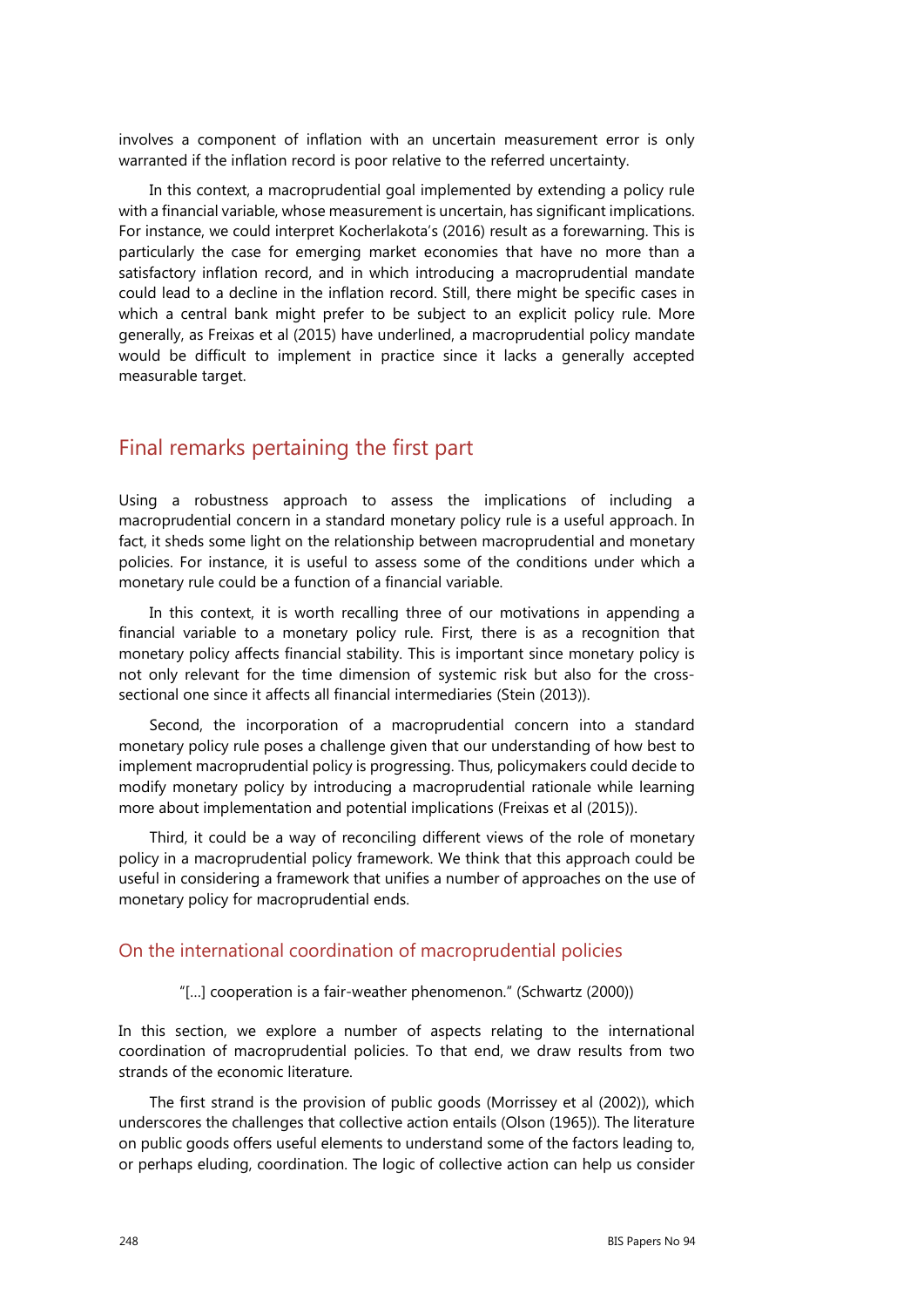involves a component of inflation with an uncertain measurement error is only warranted if the inflation record is poor relative to the referred uncertainty.

In this context, a macroprudential goal implemented by extending a policy rule with a financial variable, whose measurement is uncertain, has significant implications. For instance, we could interpret Kocherlakota's (2016) result as a forewarning. This is particularly the case for emerging market economies that have no more than a satisfactory inflation record, and in which introducing a macroprudential mandate could lead to a decline in the inflation record. Still, there might be specific cases in which a central bank might prefer to be subject to an explicit policy rule. More generally, as Freixas et al (2015) have underlined, a macroprudential policy mandate would be difficult to implement in practice since it lacks a generally accepted measurable target.

# Final remarks pertaining the first part

Using a robustness approach to assess the implications of including a macroprudential concern in a standard monetary policy rule is a useful approach. In fact, it sheds some light on the relationship between macroprudential and monetary policies. For instance, it is useful to assess some of the conditions under which a monetary rule could be a function of a financial variable.

In this context, it is worth recalling three of our motivations in appending a financial variable to a monetary policy rule. First, there is as a recognition that monetary policy affects financial stability. This is important since monetary policy is not only relevant for the time dimension of systemic risk but also for the crosssectional one since it affects all financial intermediaries (Stein (2013)).

Second, the incorporation of a macroprudential concern into a standard monetary policy rule poses a challenge given that our understanding of how best to implement macroprudential policy is progressing. Thus, policymakers could decide to modify monetary policy by introducing a macroprudential rationale while learning more about implementation and potential implications (Freixas et al (2015)).

Third, it could be a way of reconciling different views of the role of monetary policy in a macroprudential policy framework. We think that this approach could be useful in considering a framework that unifies a number of approaches on the use of monetary policy for macroprudential ends.

#### On the international coordination of macroprudential policies

"[…] cooperation is a fair-weather phenomenon." (Schwartz (2000))

In this section, we explore a number of aspects relating to the international coordination of macroprudential policies. To that end, we draw results from two strands of the economic literature.

The first strand is the provision of public goods (Morrissey et al (2002)), which underscores the challenges that collective action entails (Olson (1965)). The literature on public goods offers useful elements to understand some of the factors leading to, or perhaps eluding, coordination. The logic of collective action can help us consider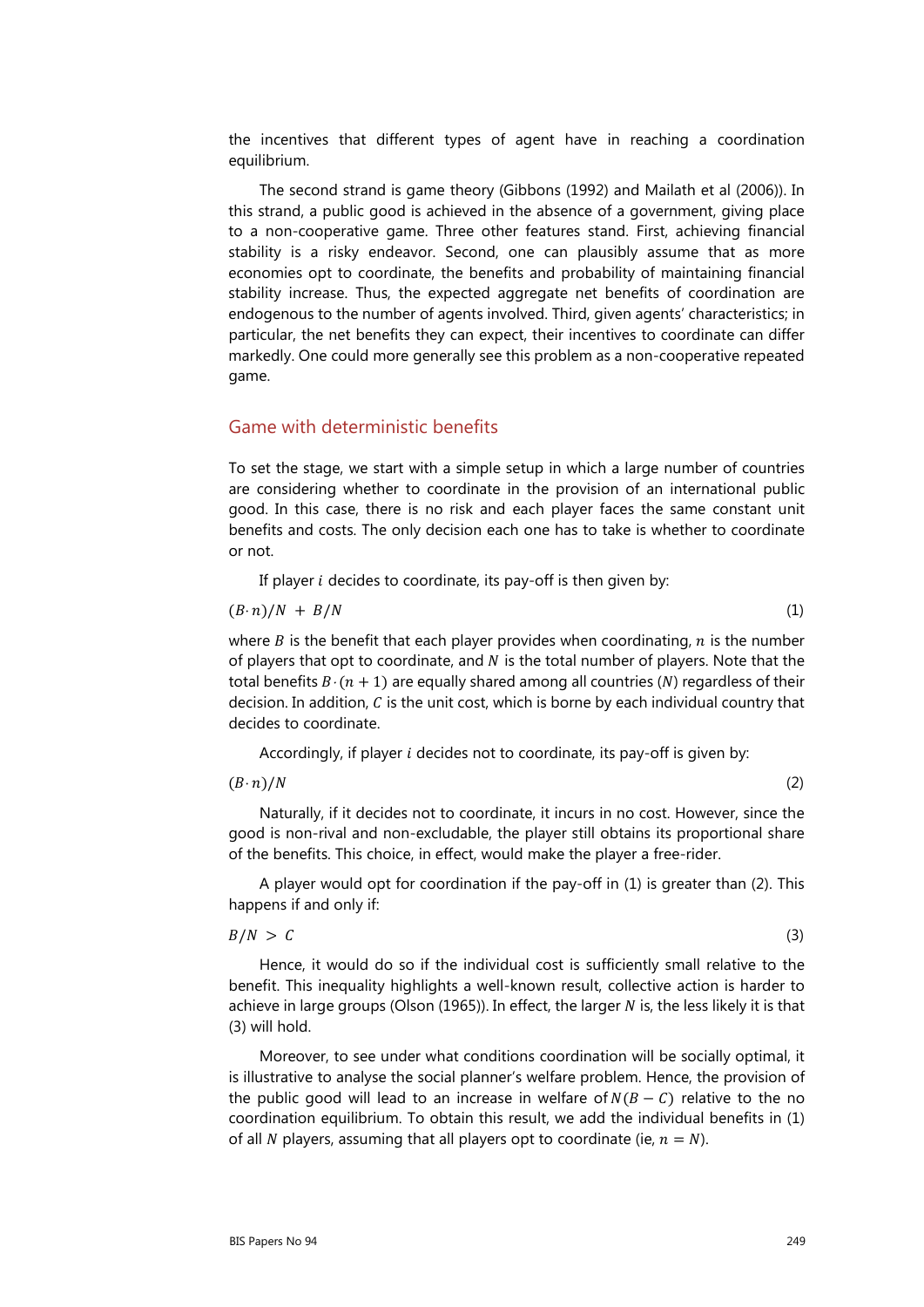the incentives that different types of agent have in reaching a coordination equilibrium.

The second strand is game theory (Gibbons (1992) and Mailath et al (2006)). In this strand, a public good is achieved in the absence of a government, giving place to a non-cooperative game. Three other features stand. First, achieving financial stability is a risky endeavor. Second, one can plausibly assume that as more economies opt to coordinate, the benefits and probability of maintaining financial stability increase. Thus, the expected aggregate net benefits of coordination are endogenous to the number of agents involved. Third, given agents' characteristics; in particular, the net benefits they can expect, their incentives to coordinate can differ markedly. One could more generally see this problem as a non-cooperative repeated game.

### Game with deterministic benefits

To set the stage, we start with a simple setup in which a large number of countries are considering whether to coordinate in the provision of an international public good. In this case, there is no risk and each player faces the same constant unit benefits and costs. The only decision each one has to take is whether to coordinate or not.

If player  $i$  decides to coordinate, its pay-off is then given by:

$$
(B \cdot n)/N + B/N \tag{1}
$$

where  $B$  is the benefit that each player provides when coordinating,  $n$  is the number of players that opt to coordinate, and  $N$  is the total number of players. Note that the total benefits  $B \cdot (n + 1)$  are equally shared among all countries (N) regardless of their decision. In addition,  $C$  is the unit cost, which is borne by each individual country that decides to coordinate.

Accordingly, if player  $i$  decides not to coordinate, its pay-off is given by:

### $(B \cdot n)/N$  (2)

Naturally, if it decides not to coordinate, it incurs in no cost. However, since the good is non-rival and non-excludable, the player still obtains its proportional share of the benefits. This choice, in effect, would make the player a free-rider.

A player would opt for coordination if the pay-off in (1) is greater than (2). This happens if and only if:

#### $B/N > C$  (3)

Hence, it would do so if the individual cost is sufficiently small relative to the benefit. This inequality highlights a well-known result, collective action is harder to achieve in large groups (Olson (1965)). In effect, the larger  $N$  is, the less likely it is that (3) will hold.

Moreover, to see under what conditions coordination will be socially optimal, it is illustrative to analyse the social planner's welfare problem. Hence, the provision of the public good will lead to an increase in welfare of  $N(B - C)$  relative to the no coordination equilibrium. To obtain this result, we add the individual benefits in (1) of all N players, assuming that all players opt to coordinate (ie,  $n = N$ ).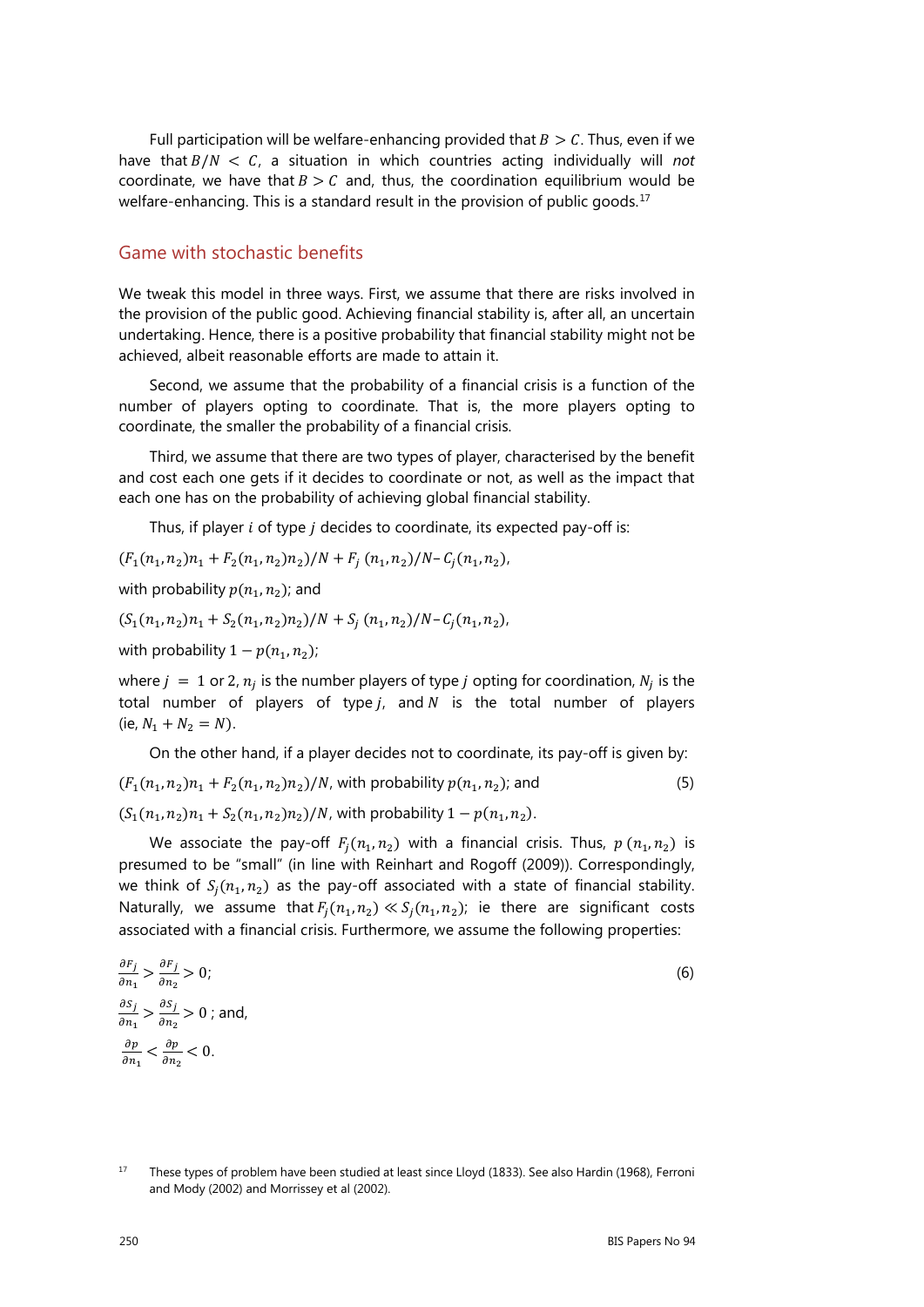Full participation will be welfare-enhancing provided that  $B > C$ . Thus, even if we have that  $B/N < C$ , a situation in which countries acting individually will *not* coordinate, we have that  $B > C$  and, thus, the coordination equilibrium would be welfare-enhancing. This is a standard result in the provision of public goods.<sup>[17](#page-11-0)</sup>

#### Game with stochastic benefits

We tweak this model in three ways. First, we assume that there are risks involved in the provision of the public good. Achieving financial stability is, after all, an uncertain undertaking. Hence, there is a positive probability that financial stability might not be achieved, albeit reasonable efforts are made to attain it.

Second, we assume that the probability of a financial crisis is a function of the number of players opting to coordinate. That is, the more players opting to coordinate, the smaller the probability of a financial crisis.

Third, we assume that there are two types of player, characterised by the benefit and cost each one gets if it decides to coordinate or not, as well as the impact that each one has on the probability of achieving global financial stability.

Thus, if player  $i$  of type  $j$  decides to coordinate, its expected pay-off is:

 $(F_1(n_1, n_2)n_1 + F_2(n_1, n_2)n_2)/N + F_i(n_1, n_2)/N - C_i(n_1, n_2),$ 

with probability  $p(n_1, n_2)$ ; and

 $(S_1(n_1, n_2)n_1 + S_2(n_1, n_2)n_2)/N + S_i(n_1, n_2)/N - C_i(n_1, n_2),$ 

with probability  $1 - p(n_1, n_2)$ ;

where  $j = 1$  or 2,  $n_i$  is the number players of type j opting for coordination,  $N_i$  is the total number of players of type  $j$ , and  $N$  is the total number of players  $(ie, N_1 + N_2 = N).$ 

On the other hand, if a player decides not to coordinate, its pay-off is given by:

 $(F_1(n_1, n_2)n_1 + F_2(n_1, n_2)n_2)/N$ , with probability  $p(n_1, n_2)$ ; and (5)

 $(S_1(n_1, n_2)n_1 + S_2(n_1, n_2)n_2)/N$ , with probability  $1 - p(n_1, n_2)$ .

We associate the pay-off  $F_i(n_1, n_2)$  with a financial crisis. Thus,  $p(n_1, n_2)$  is presumed to be "small" (in line with Reinhart and Rogoff (2009)). Correspondingly, we think of  $S_i(n_1, n_2)$  as the pay-off associated with a state of financial stability. Naturally, we assume that  $F_i(n_1, n_2) \ll S_i(n_1, n_2)$ ; ie there are significant costs associated with a financial crisis. Furthermore, we assume the following properties:

$$
\frac{\partial F_j}{\partial n_1} > \frac{\partial F_j}{\partial n_2} > 0; \\
\frac{\partial S_j}{\partial n_1} > \frac{\partial S_j}{\partial n_2} > 0; \text{ and,} \\
\frac{\partial p}{\partial n_1} < \frac{\partial p}{\partial n_2} < 0.
$$
\n
$$
(6)
$$

<span id="page-11-0"></span><sup>&</sup>lt;sup>17</sup> These types of problem have been studied at least since Lloyd (1833). See also Hardin (1968), Ferroni and Mody (2002) and Morrissey et al (2002).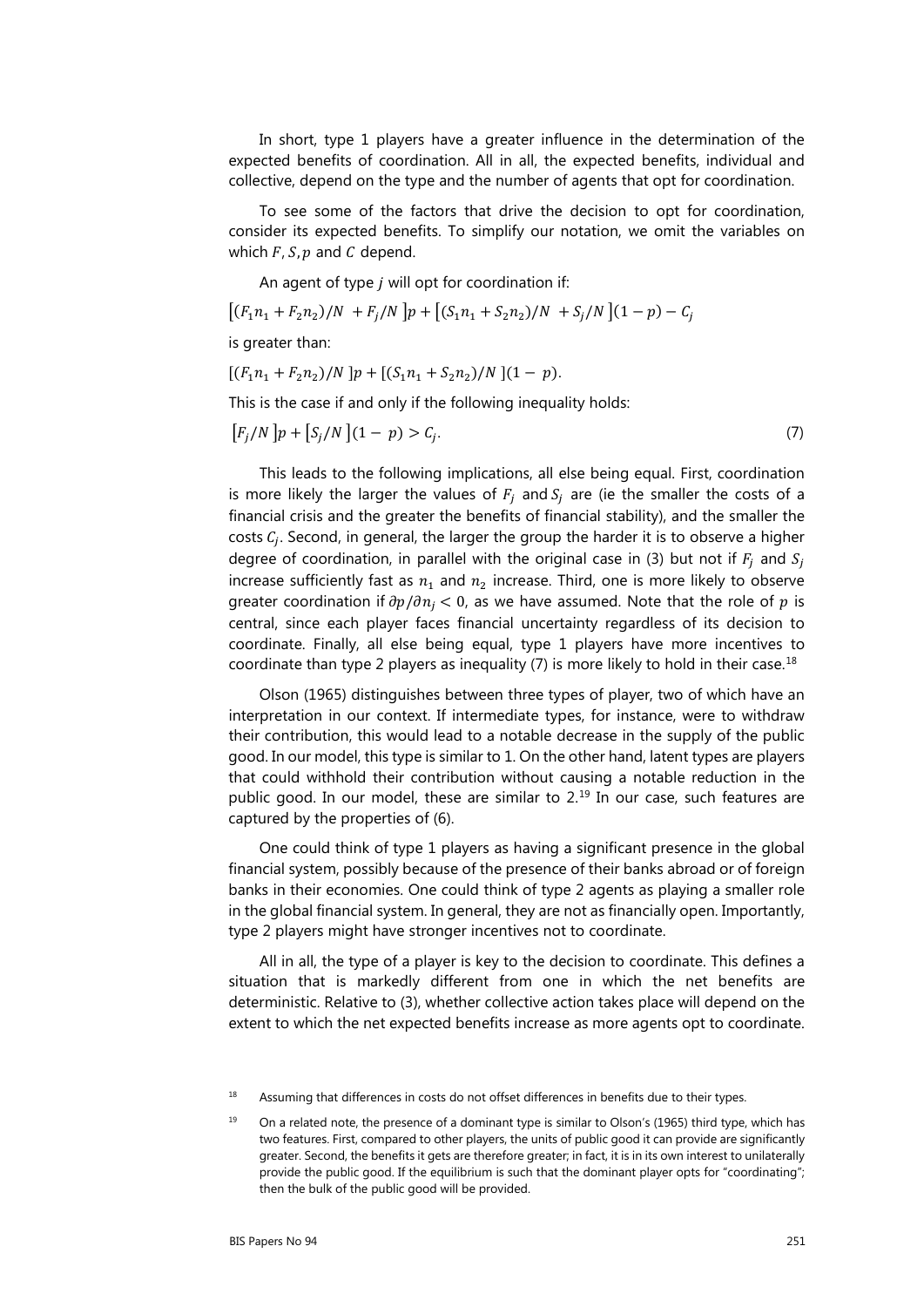In short, type 1 players have a greater influence in the determination of the expected benefits of coordination. All in all, the expected benefits, individual and collective, depend on the type and the number of agents that opt for coordination.

To see some of the factors that drive the decision to opt for coordination, consider its expected benefits. To simplify our notation, we omit the variables on which  $F$ ,  $S$ ,  $p$  and  $C$  depend.

An agent of type  $j$  will opt for coordination if:

$$
\left[ (F_1 n_1 + F_2 n_2)/N + F_j/N \right] p + \left[ (S_1 n_1 + S_2 n_2)/N + S_j/N \right] (1 - p) - C_j
$$

is greater than:

$$
[(F_1n_1 + F_2n_2)/N]p + [(S_1n_1 + S_2n_2)/N](1 - p).
$$

This is the case if and only if the following inequality holds:

$$
[F_j/N]p + [S_j/N](1 - p) > C_j.
$$
 (7)

This leads to the following implications, all else being equal. First, coordination is more likely the larger the values of  $F_i$  and  $S_i$  are (ie the smaller the costs of a financial crisis and the greater the benefits of financial stability), and the smaller the costs  $C_i$ . Second, in general, the larger the group the harder it is to observe a higher degree of coordination, in parallel with the original case in (3) but not if  $F_i$  and  $S_i$ increase sufficiently fast as  $n_1$  and  $n_2$  increase. Third, one is more likely to observe greater coordination if  $\partial p / \partial n_i < 0$ , as we have assumed. Note that the role of p is central, since each player faces financial uncertainty regardless of its decision to coordinate. Finally, all else being equal, type 1 players have more incentives to coordinate than type 2 players as inequality (7) is more likely to hold in their case.<sup>[18](#page-12-0)</sup>

Olson (1965) distinguishes between three types of player, two of which have an interpretation in our context. If intermediate types, for instance, were to withdraw their contribution, this would lead to a notable decrease in the supply of the public good. In our model, this type is similar to 1. On the other hand, latent types are players that could withhold their contribution without causing a notable reduction in the public good. In our model, these are similar to 2.<sup>[19](#page-12-1)</sup> In our case, such features are captured by the properties of (6).

One could think of type 1 players as having a significant presence in the global financial system, possibly because of the presence of their banks abroad or of foreign banks in their economies. One could think of type 2 agents as playing a smaller role in the global financial system. In general, they are not as financially open. Importantly, type 2 players might have stronger incentives not to coordinate.

All in all, the type of a player is key to the decision to coordinate. This defines a situation that is markedly different from one in which the net benefits are deterministic. Relative to (3), whether collective action takes place will depend on the extent to which the net expected benefits increase as more agents opt to coordinate.

<span id="page-12-0"></span><sup>&</sup>lt;sup>18</sup> Assuming that differences in costs do not offset differences in benefits due to their types.

<span id="page-12-1"></span><sup>&</sup>lt;sup>19</sup> On a related note, the presence of a dominant type is similar to Olson's (1965) third type, which has two features. First, compared to other players, the units of public good it can provide are significantly greater. Second, the benefits it gets are therefore greater; in fact, it is in its own interest to unilaterally provide the public good. If the equilibrium is such that the dominant player opts for "coordinating"; then the bulk of the public good will be provided.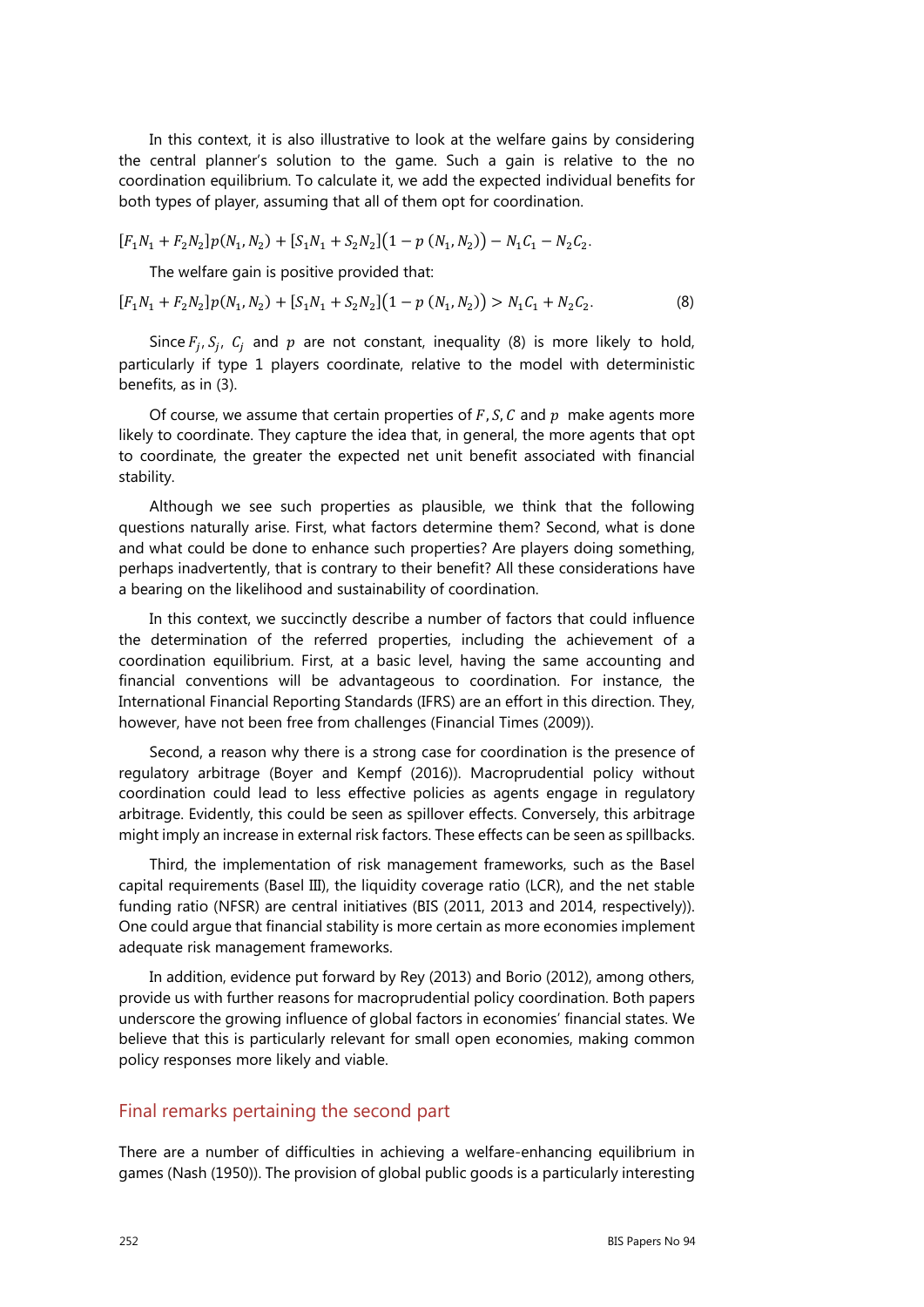In this context, it is also illustrative to look at the welfare gains by considering the central planner's solution to the game. Such a gain is relative to the no coordination equilibrium. To calculate it, we add the expected individual benefits for both types of player, assuming that all of them opt for coordination.

$$
[F_1N_1 + F_2N_2]p(N_1, N_2) + [S_1N_1 + S_2N_2](1 - p(N_1, N_2)) - N_1C_1 - N_2C_2.
$$

The welfare gain is positive provided that:

$$
[F_1N_1 + F_2N_2]p(N_1, N_2) + [S_1N_1 + S_2N_2](1 - p(N_1, N_2)) > N_1C_1 + N_2C_2.
$$
 (8)

Since  $F_i$ ,  $S_i$ ,  $C_i$  and  $p$  are not constant, inequality (8) is more likely to hold, particularly if type 1 players coordinate, relative to the model with deterministic benefits, as in (3).

Of course, we assume that certain properties of  $F$ ,  $S$ ,  $C$  and  $p$  make agents more likely to coordinate. They capture the idea that, in general, the more agents that opt to coordinate, the greater the expected net unit benefit associated with financial stability.

Although we see such properties as plausible, we think that the following questions naturally arise. First, what factors determine them? Second, what is done and what could be done to enhance such properties? Are players doing something, perhaps inadvertently, that is contrary to their benefit? All these considerations have a bearing on the likelihood and sustainability of coordination.

In this context, we succinctly describe a number of factors that could influence the determination of the referred properties, including the achievement of a coordination equilibrium. First, at a basic level, having the same accounting and financial conventions will be advantageous to coordination. For instance, the International Financial Reporting Standards (IFRS) are an effort in this direction. They, however, have not been free from challenges (Financial Times (2009)).

Second, a reason why there is a strong case for coordination is the presence of regulatory arbitrage (Boyer and Kempf (2016)). Macroprudential policy without coordination could lead to less effective policies as agents engage in regulatory arbitrage. Evidently, this could be seen as spillover effects. Conversely, this arbitrage might imply an increase in external risk factors. These effects can be seen as spillbacks.

Third, the implementation of risk management frameworks, such as the Basel capital requirements (Basel III), the liquidity coverage ratio (LCR), and the net stable funding ratio (NFSR) are central initiatives (BIS (2011, 2013 and 2014, respectively)). One could argue that financial stability is more certain as more economies implement adequate risk management frameworks.

In addition, evidence put forward by Rey (2013) and Borio (2012), among others, provide us with further reasons for macroprudential policy coordination. Both papers underscore the growing influence of global factors in economies' financial states. We believe that this is particularly relevant for small open economies, making common policy responses more likely and viable.

#### Final remarks pertaining the second part

There are a number of difficulties in achieving a welfare-enhancing equilibrium in games (Nash (1950)). The provision of global public goods is a particularly interesting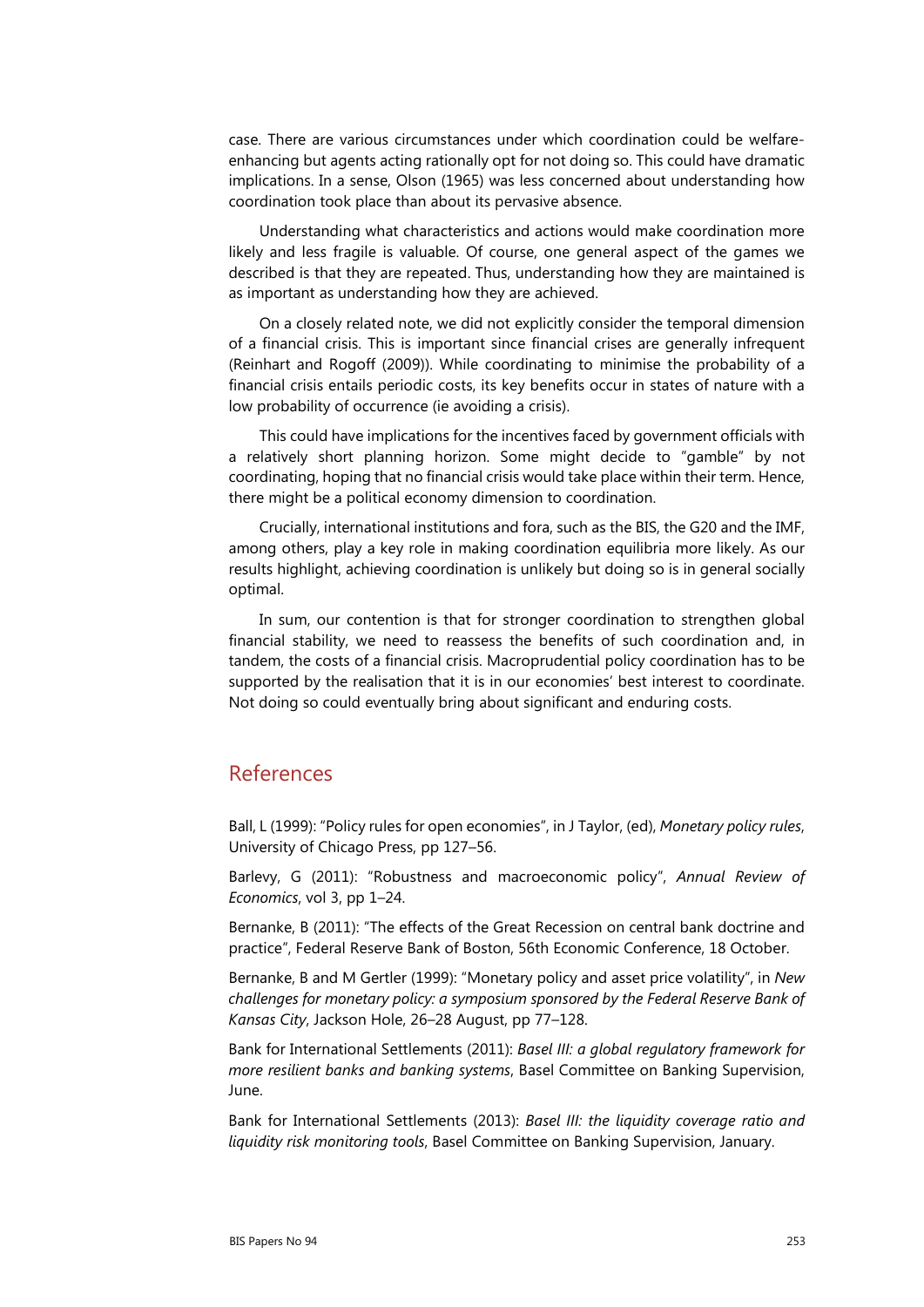case. There are various circumstances under which coordination could be welfareenhancing but agents acting rationally opt for not doing so. This could have dramatic implications. In a sense, Olson (1965) was less concerned about understanding how coordination took place than about its pervasive absence.

Understanding what characteristics and actions would make coordination more likely and less fragile is valuable. Of course, one general aspect of the games we described is that they are repeated. Thus, understanding how they are maintained is as important as understanding how they are achieved.

On a closely related note, we did not explicitly consider the temporal dimension of a financial crisis. This is important since financial crises are generally infrequent (Reinhart and Rogoff (2009)). While coordinating to minimise the probability of a financial crisis entails periodic costs, its key benefits occur in states of nature with a low probability of occurrence (ie avoiding a crisis).

This could have implications for the incentives faced by government officials with a relatively short planning horizon. Some might decide to "gamble" by not coordinating, hoping that no financial crisis would take place within their term. Hence, there might be a political economy dimension to coordination.

Crucially, international institutions and fora, such as the BIS, the G20 and the IMF, among others, play a key role in making coordination equilibria more likely. As our results highlight, achieving coordination is unlikely but doing so is in general socially optimal.

In sum, our contention is that for stronger coordination to strengthen global financial stability, we need to reassess the benefits of such coordination and, in tandem, the costs of a financial crisis. Macroprudential policy coordination has to be supported by the realisation that it is in our economies' best interest to coordinate. Not doing so could eventually bring about significant and enduring costs.

### References

Ball, L (1999): "Policy rules for open economies", in J Taylor, (ed), *Monetary policy rules*, University of Chicago Press, pp 127–56.

Barlevy, G (2011): "Robustness and macroeconomic policy", *Annual Review of Economics*, vol 3, pp 1–24.

Bernanke, B (2011): "The effects of the Great Recession on central bank doctrine and practice", Federal Reserve Bank of Boston, 56th Economic Conference, 18 October.

Bernanke, B and M Gertler (1999): "Monetary policy and asset price volatility", in *New challenges for monetary policy: a symposium sponsored by the Federal Reserve Bank of Kansas City*, Jackson Hole, 26–28 August, pp 77–128.

Bank for International Settlements (2011): *Basel III: a global regulatory framework for more resilient banks and banking systems*, Basel Committee on Banking Supervision, June.

Bank for International Settlements (2013): *Basel III: the liquidity coverage ratio and liquidity risk monitoring tools*, Basel Committee on Banking Supervision, January.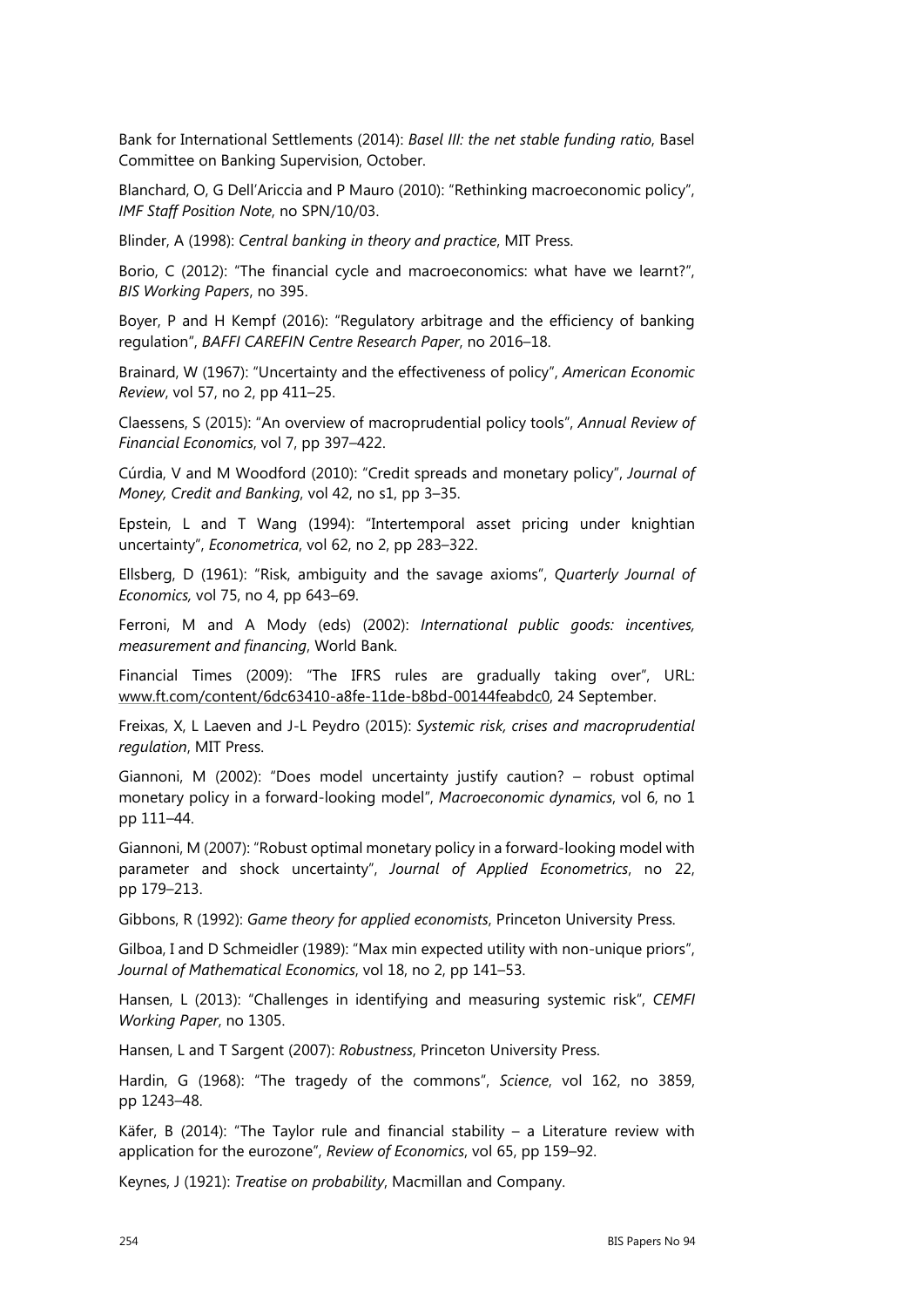Bank for International Settlements (2014): *Basel III: the net stable funding ratio*, Basel Committee on Banking Supervision, October.

Blanchard, O, G Dell'Ariccia and P Mauro (2010): "Rethinking macroeconomic policy", *IMF Staff Position Note*, no SPN/10/03.

Blinder, A (1998): *Central banking in theory and practice*, MIT Press.

Borio, C (2012): "The financial cycle and macroeconomics: what have we learnt?", *BIS Working Papers*, no 395.

Boyer, P and H Kempf (2016): "Regulatory arbitrage and the efficiency of banking regulation", *BAFFI CAREFIN Centre Research Paper*, no 2016–18.

Brainard, W (1967): "Uncertainty and the effectiveness of policy", *American Economic Review*, vol 57, no 2, pp 411–25.

Claessens, S (2015): "An overview of macroprudential policy tools", *Annual Review of Financial Economics*, vol 7, pp 397–422.

Cúrdia, V and M Woodford (2010): "Credit spreads and monetary policy", *Journal of Money, Credit and Banking*, vol 42, no s1, pp 3–35.

Epstein, L and T Wang (1994): "Intertemporal asset pricing under knightian uncertainty", *Econometrica*, vol 62, no 2, pp 283–322.

Ellsberg, D (1961): "Risk, ambiguity and the savage axioms", *Quarterly Journal of Economics,* vol 75, no 4, pp 643–69.

Ferroni, M and A Mody (eds) (2002): *International public goods: incentives, measurement and financing*, World Bank.

Financial Times (2009): "The IFRS rules are gradually taking over", URL: [www.ft.com/content/6dc63410-a8fe-11de-b8bd-00144feabdc0,](http://www.ft.com/content/6dc63410-a8fe-11de-b8bd-00144feabdc0) 24 September.

Freixas, X, L Laeven and J-L Peydro (2015): *Systemic risk, crises and macroprudential regulation*, MIT Press.

Giannoni, M (2002): "Does model uncertainty justify caution? – robust optimal monetary policy in a forward-looking model", *Macroeconomic dynamics*, vol 6, no 1 pp 111–44.

Giannoni, M (2007): "Robust optimal monetary policy in a forward-looking model with parameter and shock uncertainty", *Journal of Applied Econometrics*, no 22, pp 179–213.

Gibbons, R (1992): *Game theory for applied economists*, Princeton University Press.

Gilboa, I and D Schmeidler (1989): "Max min expected utility with non-unique priors", *Journal of Mathematical Economics*, vol 18, no 2, pp 141–53.

Hansen, L (2013): "Challenges in identifying and measuring systemic risk", *CEMFI Working Paper*, no 1305.

Hansen, L and T Sargent (2007): *Robustness*, Princeton University Press.

Hardin, G (1968): "The tragedy of the commons", *Science*, vol 162, no 3859, pp 1243–48.

Käfer, B (2014): "The Taylor rule and financial stability – a Literature review with application for the eurozone", *Review of Economics*, vol 65, pp 159–92.

Keynes, J (1921): *Treatise on probability*, Macmillan and Company.